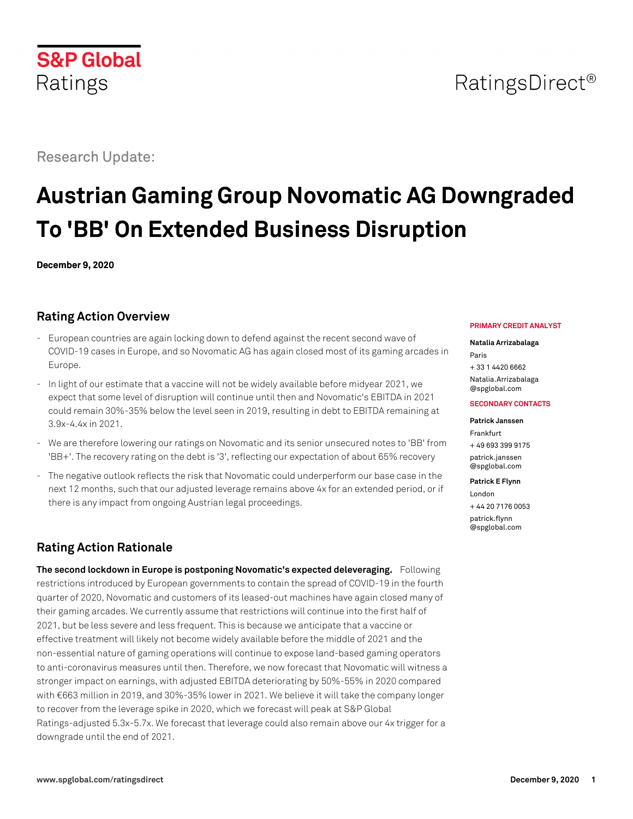# RatingsDirect<sup>®</sup>

# Research Update:

**S&P Global** 

Ratings

# **Austrian Gaming Group Novomatic AG Downgraded To 'BB' On Extended Business Disruption**

**December 9, 2020**

## **Rating Action Overview**

- European countries are again locking down to defend against the recent second wave of COVID-19 cases in Europe, and so Novomatic AG has again closed most of its gaming arcades in Europe.
- In light of our estimate that a vaccine will not be widely available before midyear 2021, we expect that some level of disruption will continue until then and Novomatic's EBITDA in 2021 could remain 30%-35% below the level seen in 2019, resulting in debt to EBITDA remaining at 3.9x-4.4x in 2021.
- We are therefore lowering our ratings on Novomatic and its senior unsecured notes to 'BB' from 'BB+'. The recovery rating on the debt is '3', reflecting our expectation of about 65% recovery
- The negative outlook reflects the risk that Novomatic could underperform our base case in the next 12 months, such that our adjusted leverage remains above 4x for an extended period, or if there is any impact from ongoing Austrian legal proceedings.

# **Rating Action Rationale**

**The second lockdown in Europe is postponing Novomatic's expected deleveraging.** Following restrictions introduced by European governments to contain the spread of COVID-19 in the fourth quarter of 2020, Novomatic and customers of its leased-out machines have again closed many of their gaming arcades. We currently assume that restrictions will continue into the first half of 2021, but be less severe and less frequent. This is because we anticipate that a vaccine or effective treatment will likely not become widely available before the middle of 2021 and the non-essential nature of gaming operations will continue to expose land-based gaming operators to anti-coronavirus measures until then. Therefore, we now forecast that Novomatic will witness a stronger impact on earnings, with adjusted EBITDA deteriorating by 50%-55% in 2020 compared with €663 million in 2019, and 30%-35% lower in 2021. We believe it will take the company longer to recover from the leverage spike in 2020, which we forecast will peak at S&P Global Ratings-adjusted 5.3x-5.7x. We forecast that leverage could also remain above our 4x trigger for a downgrade until the end of 2021.

#### **PRIMARY CREDIT ANALYST**

#### **Natalia Arrizabalaga**

Paris + 33 1 4420 6662 [Natalia.Arrizabalaga](mailto:Natalia.Arrizabalaga@spglobal.com) [@spglobal.com](mailto:Natalia.Arrizabalaga@spglobal.com)

#### **SECONDARY CONTACTS**

#### **Patrick Janssen**

Frankfurt + 49 693 399 9175 [patrick.janssen](mailto:patrick.janssen@spglobal.com) [@spglobal.com](mailto:patrick.janssen@spglobal.com)

#### **Patrick E Flynn**

London + 44 20 7176 0053 [patrick.flynn](mailto:patrick.flynn@spglobal.com) [@spglobal.com](mailto:patrick.flynn@spglobal.com)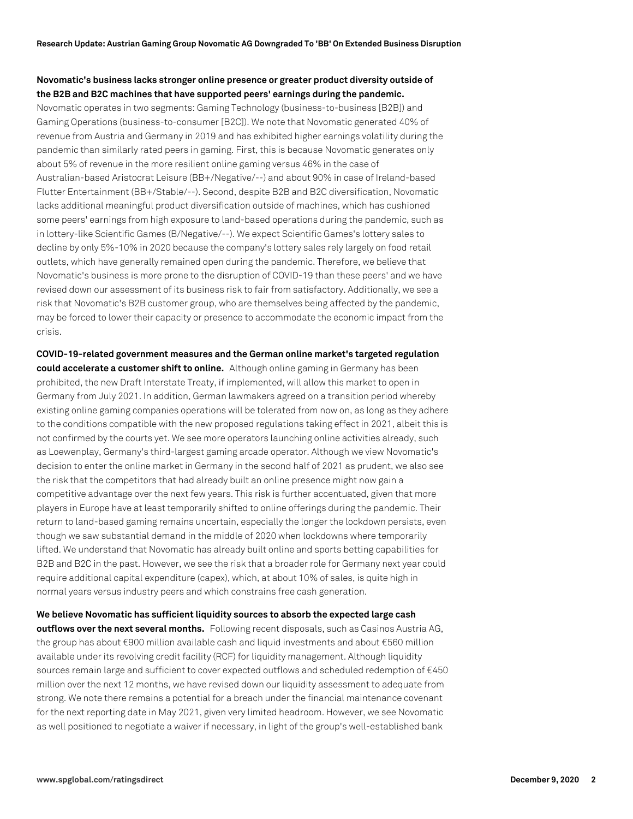## **Novomatic's business lacks stronger online presence or greater product diversity outside of the B2B and B2C machines that have supported peers' earnings during the pandemic.**

Novomatic operates in two segments: Gaming Technology (business-to-business [B2B]) and Gaming Operations (business-to-consumer [B2C]). We note that Novomatic generated 40% of revenue from Austria and Germany in 2019 and has exhibited higher earnings volatility during the pandemic than similarly rated peers in gaming. First, this is because Novomatic generates only about 5% of revenue in the more resilient online gaming versus 46% in the case of Australian-based Aristocrat Leisure (BB+/Negative/--) and about 90% in case of Ireland-based Flutter Entertainment (BB+/Stable/--). Second, despite B2B and B2C diversification, Novomatic lacks additional meaningful product diversification outside of machines, which has cushioned some peers' earnings from high exposure to land-based operations during the pandemic, such as in lottery-like Scientific Games (B/Negative/--). We expect Scientific Games's lottery sales to decline by only 5%-10% in 2020 because the company's lottery sales rely largely on food retail outlets, which have generally remained open during the pandemic. Therefore, we believe that Novomatic's business is more prone to the disruption of COVID-19 than these peers' and we have revised down our assessment of its business risk to fair from satisfactory. Additionally, we see a risk that Novomatic's B2B customer group, who are themselves being affected by the pandemic, may be forced to lower their capacity or presence to accommodate the economic impact from the crisis.

**COVID-19-related government measures and the German online market's targeted regulation could accelerate a customer shift to online.** Although online gaming in Germany has been prohibited, the new Draft Interstate Treaty, if implemented, will allow this market to open in Germany from July 2021. In addition, German lawmakers agreed on a transition period whereby existing online gaming companies operations will be tolerated from now on, as long as they adhere to the conditions compatible with the new proposed regulations taking effect in 2021, albeit this is not confirmed by the courts yet. We see more operators launching online activities already, such as Loewenplay, Germany's third-largest gaming arcade operator. Although we view Novomatic's decision to enter the online market in Germany in the second half of 2021 as prudent, we also see the risk that the competitors that had already built an online presence might now gain a competitive advantage over the next few years. This risk is further accentuated, given that more players in Europe have at least temporarily shifted to online offerings during the pandemic. Their return to land-based gaming remains uncertain, especially the longer the lockdown persists, even though we saw substantial demand in the middle of 2020 when lockdowns where temporarily lifted. We understand that Novomatic has already built online and sports betting capabilities for B2B and B2C in the past. However, we see the risk that a broader role for Germany next year could require additional capital expenditure (capex), which, at about 10% of sales, is quite high in normal years versus industry peers and which constrains free cash generation.

**We believe Novomatic has sufficient liquidity sources to absorb the expected large cash outflows over the next several months.** Following recent disposals, such as Casinos Austria AG, the group has about €900 million available cash and liquid investments and about €560 million available under its revolving credit facility (RCF) for liquidity management. Although liquidity sources remain large and sufficient to cover expected outflows and scheduled redemption of €450 million over the next 12 months, we have revised down our liquidity assessment to adequate from strong. We note there remains a potential for a breach under the financial maintenance covenant for the next reporting date in May 2021, given very limited headroom. However, we see Novomatic as well positioned to negotiate a waiver if necessary, in light of the group's well-established bank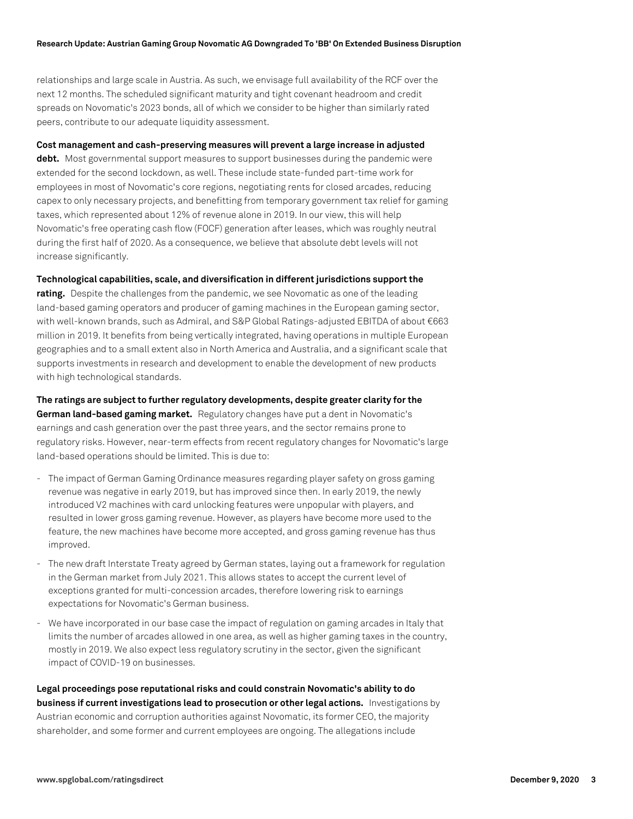relationships and large scale in Austria. As such, we envisage full availability of the RCF over the next 12 months. The scheduled significant maturity and tight covenant headroom and credit spreads on Novomatic's 2023 bonds, all of which we consider to be higher than similarly rated peers, contribute to our adequate liquidity assessment.

#### **Cost management and cash-preserving measures will prevent a large increase in adjusted**

**debt.** Most governmental support measures to support businesses during the pandemic were extended for the second lockdown, as well. These include state-funded part-time work for employees in most of Novomatic's core regions, negotiating rents for closed arcades, reducing capex to only necessary projects, and benefitting from temporary government tax relief for gaming taxes, which represented about 12% of revenue alone in 2019. In our view, this will help Novomatic's free operating cash flow (FOCF) generation after leases, which was roughly neutral during the first half of 2020. As a consequence, we believe that absolute debt levels will not increase significantly.

#### **Technological capabilities, scale, and diversification in different jurisdictions support the**

**rating.** Despite the challenges from the pandemic, we see Novomatic as one of the leading land-based gaming operators and producer of gaming machines in the European gaming sector, with well-known brands, such as Admiral, and S&P Global Ratings-adjusted EBITDA of about €663 million in 2019. It benefits from being vertically integrated, having operations in multiple European geographies and to a small extent also in North America and Australia, and a significant scale that supports investments in research and development to enable the development of new products with high technological standards.

**The ratings are subject to further regulatory developments, despite greater clarity for the German land-based gaming market.** Regulatory changes have put a dent in Novomatic's earnings and cash generation over the past three years, and the sector remains prone to regulatory risks. However, near-term effects from recent regulatory changes for Novomatic's large land-based operations should be limited. This is due to:

- The impact of German Gaming Ordinance measures regarding player safety on gross gaming revenue was negative in early 2019, but has improved since then. In early 2019, the newly introduced V2 machines with card unlocking features were unpopular with players, and resulted in lower gross gaming revenue. However, as players have become more used to the feature, the new machines have become more accepted, and gross gaming revenue has thus improved.
- The new draft Interstate Treaty agreed by German states, laying out a framework for regulation in the German market from July 2021. This allows states to accept the current level of exceptions granted for multi-concession arcades, therefore lowering risk to earnings expectations for Novomatic's German business.
- We have incorporated in our base case the impact of regulation on gaming arcades in Italy that limits the number of arcades allowed in one area, as well as higher gaming taxes in the country, mostly in 2019. We also expect less regulatory scrutiny in the sector, given the significant impact of COVID-19 on businesses.

**Legal proceedings pose reputational risks and could constrain Novomatic's ability to do business if current investigations lead to prosecution or other legal actions.** Investigations by Austrian economic and corruption authorities against Novomatic, its former CEO, the majority shareholder, and some former and current employees are ongoing. The allegations include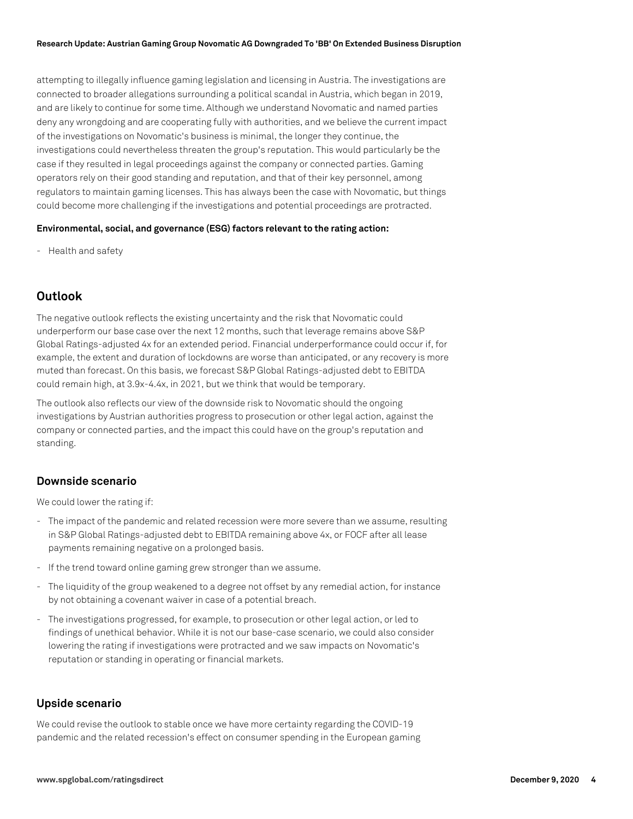attempting to illegally influence gaming legislation and licensing in Austria. The investigations are connected to broader allegations surrounding a political scandal in Austria, which began in 2019, and are likely to continue for some time. Although we understand Novomatic and named parties deny any wrongdoing and are cooperating fully with authorities, and we believe the current impact of the investigations on Novomatic's business is minimal, the longer they continue, the investigations could nevertheless threaten the group's reputation. This would particularly be the case if they resulted in legal proceedings against the company or connected parties. Gaming operators rely on their good standing and reputation, and that of their key personnel, among regulators to maintain gaming licenses. This has always been the case with Novomatic, but things could become more challenging if the investigations and potential proceedings are protracted.

#### **Environmental, social, and governance (ESG) factors relevant to the rating action:**

- Health and safety

## **Outlook**

The negative outlook reflects the existing uncertainty and the risk that Novomatic could underperform our base case over the next 12 months, such that leverage remains above S&P Global Ratings-adjusted 4x for an extended period. Financial underperformance could occur if, for example, the extent and duration of lockdowns are worse than anticipated, or any recovery is more muted than forecast. On this basis, we forecast S&P Global Ratings-adjusted debt to EBITDA could remain high, at 3.9x-4.4x, in 2021, but we think that would be temporary.

The outlook also reflects our view of the downside risk to Novomatic should the ongoing investigations by Austrian authorities progress to prosecution or other legal action, against the company or connected parties, and the impact this could have on the group's reputation and standing.

## **Downside scenario**

We could lower the rating if:

- The impact of the pandemic and related recession were more severe than we assume, resulting in S&P Global Ratings-adjusted debt to EBITDA remaining above 4x, or FOCF after all lease payments remaining negative on a prolonged basis.
- If the trend toward online gaming grew stronger than we assume.
- The liquidity of the group weakened to a degree not offset by any remedial action, for instance by not obtaining a covenant waiver in case of a potential breach.
- The investigations progressed, for example, to prosecution or other legal action, or led to findings of unethical behavior. While it is not our base-case scenario, we could also consider lowering the rating if investigations were protracted and we saw impacts on Novomatic's reputation or standing in operating or financial markets.

## **Upside scenario**

We could revise the outlook to stable once we have more certainty regarding the COVID-19 pandemic and the related recession's effect on consumer spending in the European gaming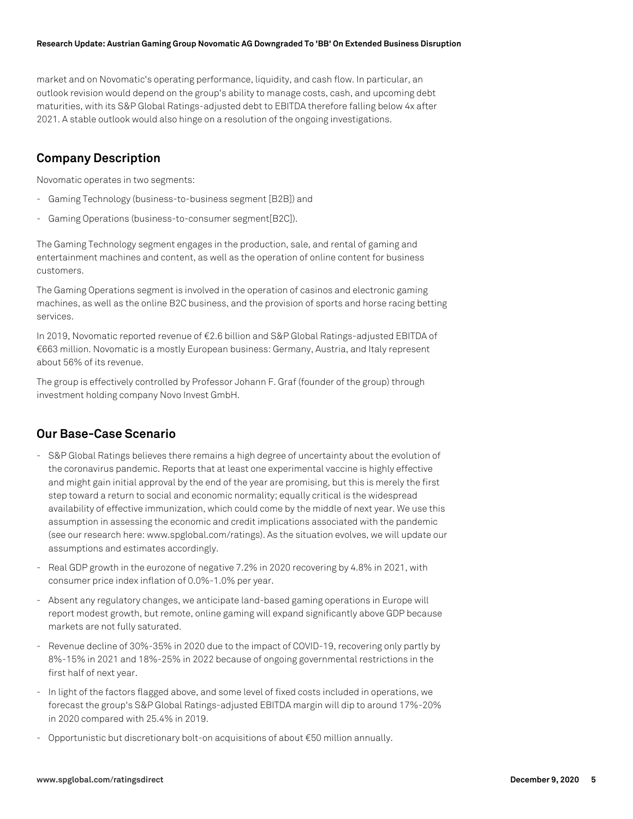market and on Novomatic's operating performance, liquidity, and cash flow. In particular, an outlook revision would depend on the group's ability to manage costs, cash, and upcoming debt maturities, with its S&P Global Ratings-adjusted debt to EBITDA therefore falling below 4x after 2021. A stable outlook would also hinge on a resolution of the ongoing investigations.

## **Company Description**

Novomatic operates in two segments:

- Gaming Technology (business-to-business segment [B2B]) and
- Gaming Operations (business-to-consumer segment[B2C]).

The Gaming Technology segment engages in the production, sale, and rental of gaming and entertainment machines and content, as well as the operation of online content for business customers.

The Gaming Operations segment is involved in the operation of casinos and electronic gaming machines, as well as the online B2C business, and the provision of sports and horse racing betting services.

In 2019, Novomatic reported revenue of €2.6 billion and S&P Global Ratings-adjusted EBITDA of €663 million. Novomatic is a mostly European business: Germany, Austria, and Italy represent about 56% of its revenue.

The group is effectively controlled by Professor Johann F. Graf (founder of the group) through investment holding company Novo Invest GmbH.

## **Our Base-Case Scenario**

- S&P Global Ratings believes there remains a high degree of uncertainty about the evolution of the coronavirus pandemic. Reports that at least one experimental vaccine is highly effective and might gain initial approval by the end of the year are promising, but this is merely the first step toward a return to social and economic normality; equally critical is the widespread availability of effective immunization, which could come by the middle of next year. We use this assumption in assessing the economic and credit implications associated with the pandemic (see our research here: www.spglobal.com/ratings). As the situation evolves, we will update our assumptions and estimates accordingly.
- Real GDP growth in the eurozone of negative 7.2% in 2020 recovering by 4.8% in 2021, with consumer price index inflation of 0.0%-1.0% per year.
- Absent any regulatory changes, we anticipate land-based gaming operations in Europe will report modest growth, but remote, online gaming will expand significantly above GDP because markets are not fully saturated.
- Revenue decline of 30%-35% in 2020 due to the impact of COVID-19, recovering only partly by 8%-15% in 2021 and 18%-25% in 2022 because of ongoing governmental restrictions in the first half of next year.
- In light of the factors flagged above, and some level of fixed costs included in operations, we forecast the group's S&P Global Ratings-adjusted EBITDA margin will dip to around 17%-20% in 2020 compared with 25.4% in 2019.
- Opportunistic but discretionary bolt-on acquisitions of about €50 million annually.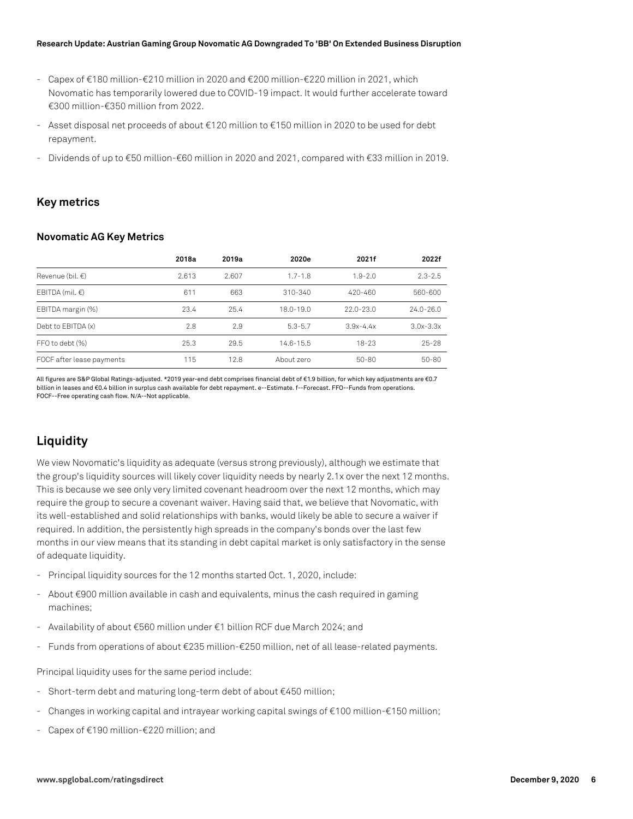- Capex of €180 million-€210 million in 2020 and €200 million-€220 million in 2021, which Novomatic has temporarily lowered due to COVID-19 impact. It would further accelerate toward €300 million-€350 million from 2022.
- Asset disposal net proceeds of about €120 million to €150 million in 2020 to be used for debt repayment.
- Dividends of up to €50 million-€60 million in 2020 and 2021, compared with €33 million in 2019.

## **Key metrics**

#### **Novomatic AG Key Metrics**

|                            | 2018a | 2019a | 2020e         | 2021f         | 2022f         |
|----------------------------|-------|-------|---------------|---------------|---------------|
| Revenue (bil. $\epsilon$ ) | 2.613 | 2.607 | $1.7 - 1.8$   | $1.9 - 2.0$   | $2.3 - 2.5$   |
| EBITDA (mil. $\epsilon$ )  | 611   | 663   | 310-340       | 420-460       | 560-600       |
| EBITDA margin (%)          | 23.4  | 25.4  | $18.0 - 19.0$ | $22.0 - 23.0$ | $24.0 - 26.0$ |
| Debt to EBITDA (x)         | 2.8   | 2.9   | $5.3 - 5.7$   | $3.9x - 4.4x$ | $3.0x - 3.3x$ |
| FFO to debt (%)            | 25.3  | 29.5  | $14.6 - 15.5$ | $18 - 23$     | $25 - 28$     |
| FOCF after lease payments  | 115   | 12.8  | About zero    | $50 - 80$     | $50 - 80$     |

All figures are S&P Global Ratings-adjusted. \*2019 year-end debt comprises financial debt of €1.9 billion, for which key adjustments are €0.7 billion in leases and €0.4 billion in surplus cash available for debt repayment. e--Estimate. f--Forecast. FFO--Funds from operations. FOCF--Free operating cash flow. N/A--Not applicable.

# **Liquidity**

We view Novomatic's liquidity as adequate (versus strong previously), although we estimate that the group's liquidity sources will likely cover liquidity needs by nearly 2.1x over the next 12 months. This is because we see only very limited covenant headroom over the next 12 months, which may require the group to secure a covenant waiver. Having said that, we believe that Novomatic, with its well-established and solid relationships with banks, would likely be able to secure a waiver if required. In addition, the persistently high spreads in the company's bonds over the last few months in our view means that its standing in debt capital market is only satisfactory in the sense of adequate liquidity.

- Principal liquidity sources for the 12 months started Oct. 1, 2020, include:
- About €900 million available in cash and equivalents, minus the cash required in gaming machines;
- Availability of about €560 million under €1 billion RCF due March 2024; and
- Funds from operations of about €235 million-€250 million, net of all lease-related payments.

Principal liquidity uses for the same period include:

- Short-term debt and maturing long-term debt of about €450 million;
- Changes in working capital and intrayear working capital swings of €100 million-€150 million;
- Capex of €190 million-€220 million; and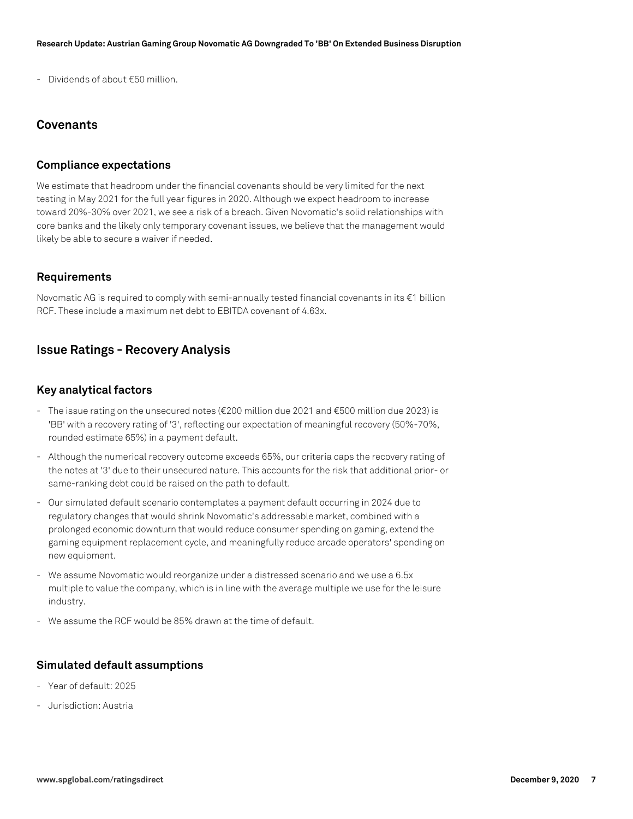- Dividends of about €50 million.

## **Covenants**

## **Compliance expectations**

We estimate that headroom under the financial covenants should be very limited for the next testing in May 2021 for the full year figures in 2020. Although we expect headroom to increase toward 20%-30% over 2021, we see a risk of a breach. Given Novomatic's solid relationships with core banks and the likely only temporary covenant issues, we believe that the management would likely be able to secure a waiver if needed.

### **Requirements**

Novomatic AG is required to comply with semi-annually tested financial covenants in its €1 billion RCF. These include a maximum net debt to EBITDA covenant of 4.63x.

## **Issue Ratings - Recovery Analysis**

### **Key analytical factors**

- The issue rating on the unsecured notes (€200 million due 2021 and €500 million due 2023) is 'BB' with a recovery rating of '3', reflecting our expectation of meaningful recovery (50%-70%, rounded estimate 65%) in a payment default.
- Although the numerical recovery outcome exceeds 65%, our criteria caps the recovery rating of the notes at '3' due to their unsecured nature. This accounts for the risk that additional prior- or same-ranking debt could be raised on the path to default.
- Our simulated default scenario contemplates a payment default occurring in 2024 due to regulatory changes that would shrink Novomatic's addressable market, combined with a prolonged economic downturn that would reduce consumer spending on gaming, extend the gaming equipment replacement cycle, and meaningfully reduce arcade operators' spending on new equipment.
- We assume Novomatic would reorganize under a distressed scenario and we use a 6.5x multiple to value the company, which is in line with the average multiple we use for the leisure industry.
- We assume the RCF would be 85% drawn at the time of default.

### **Simulated default assumptions**

- Year of default: 2025
- Jurisdiction: Austria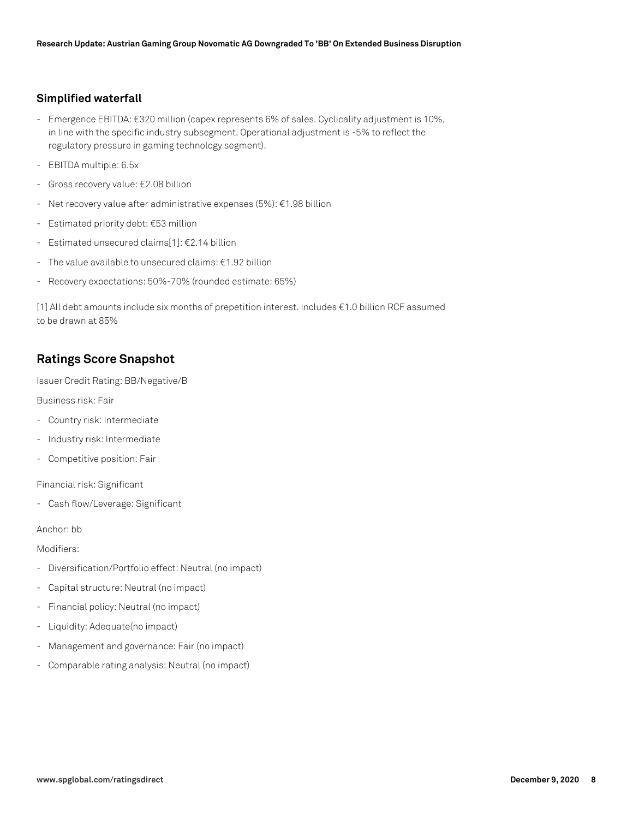## **Simplified waterfall**

- Emergence EBITDA: €320 million (capex represents 6% of sales. Cyclicality adjustment is 10%, in line with the specific industry subsegment. Operational adjustment is -5% to reflect the regulatory pressure in gaming technology segment).
- EBITDA multiple: 6.5x
- Gross recovery value: €2.08 billion
- Net recovery value after administrative expenses (5%): €1.98 billion
- Estimated priority debt: €53 million
- Estimated unsecured claims[1]: €2.14 billion
- The value available to unsecured claims: €1.92 billion
- Recovery expectations: 50%-70% (rounded estimate: 65%)

[1] All debt amounts include six months of prepetition interest. Includes €1.0 billion RCF assumed to be drawn at 85%

## **Ratings Score Snapshot**

Issuer Credit Rating: BB/Negative/B

Business risk: Fair

- Country risk: Intermediate
- Industry risk: Intermediate
- Competitive position: Fair

Financial risk: Significant

- Cash flow/Leverage: Significant

Anchor: bb

Modifiers:

- Diversification/Portfolio effect: Neutral (no impact)
- Capital structure: Neutral (no impact)
- Financial policy: Neutral (no impact)
- Liquidity: Adequate(no impact)
- Management and governance: Fair (no impact)
- Comparable rating analysis: Neutral (no impact)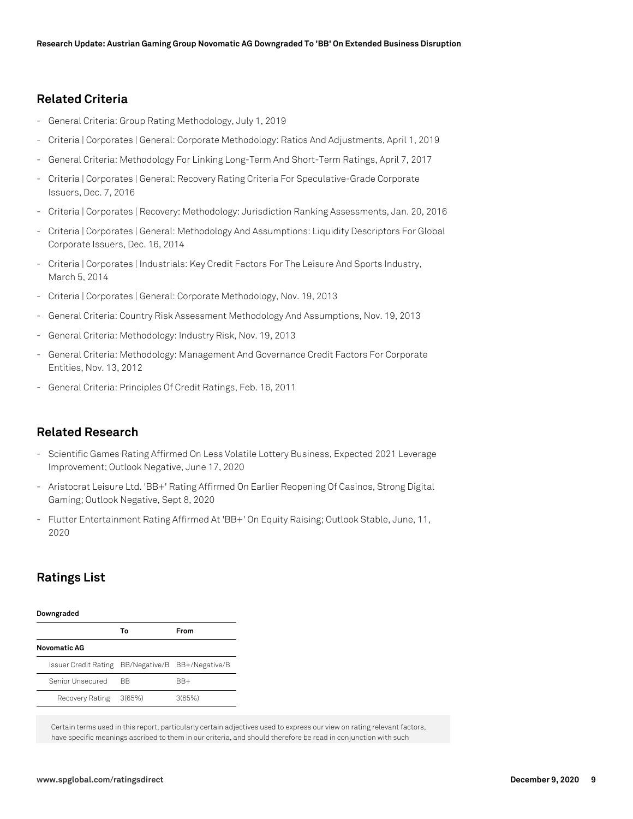## **Related Criteria**

- General Criteria: Group Rating Methodology, July 1, 2019
- Criteria | Corporates | General: Corporate Methodology: Ratios And Adjustments, April 1, 2019
- General Criteria: Methodology For Linking Long-Term And Short-Term Ratings, April 7, 2017
- Criteria | Corporates | General: Recovery Rating Criteria For Speculative-Grade Corporate Issuers, Dec. 7, 2016
- Criteria | Corporates | Recovery: Methodology: Jurisdiction Ranking Assessments, Jan. 20, 2016
- Criteria | Corporates | General: Methodology And Assumptions: Liquidity Descriptors For Global Corporate Issuers, Dec. 16, 2014
- Criteria | Corporates | Industrials: Key Credit Factors For The Leisure And Sports Industry, March 5, 2014
- Criteria | Corporates | General: Corporate Methodology, Nov. 19, 2013
- General Criteria: Country Risk Assessment Methodology And Assumptions, Nov. 19, 2013
- General Criteria: Methodology: Industry Risk, Nov. 19, 2013
- General Criteria: Methodology: Management And Governance Credit Factors For Corporate Entities, Nov. 13, 2012
- General Criteria: Principles Of Credit Ratings, Feb. 16, 2011

## **Related Research**

- Scientific Games Rating Affirmed On Less Volatile Lottery Business, Expected 2021 Leverage Improvement; Outlook Negative, June 17, 2020
- Aristocrat Leisure Ltd. 'BB+' Rating Affirmed On Earlier Reopening Of Casinos, Strong Digital Gaming; Outlook Negative, Sept 8, 2020
- Flutter Entertainment Rating Affirmed At 'BB+' On Equity Raising; Outlook Stable, June, 11, 2020

## **Ratings List**

| Downgraded           |        |                              |  |  |  |
|----------------------|--------|------------------------------|--|--|--|
|                      | Т٥     | From                         |  |  |  |
| <b>Novomatic AG</b>  |        |                              |  |  |  |
| Issuer Credit Rating |        | BB/Negative/B BB+/Negative/B |  |  |  |
| Senior Unsecured     | ВB     | BB+                          |  |  |  |
| Recovery Rating      | 3(65%) | 3(65%)                       |  |  |  |

Certain terms used in this report, particularly certain adjectives used to express our view on rating relevant factors, have specific meanings ascribed to them in our criteria, and should therefore be read in conjunction with such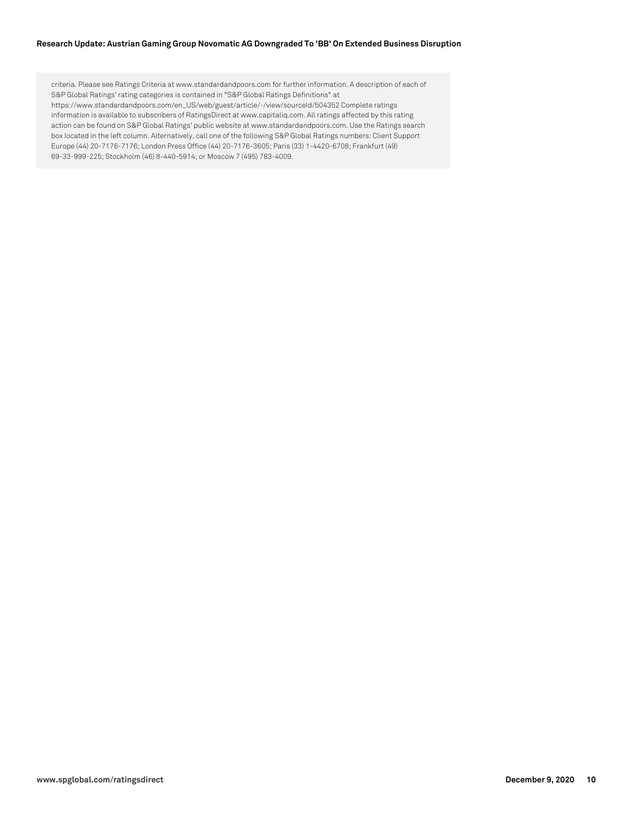criteria. Please see Ratings Criteria at www.standardandpoors.com for further information. A description of each of S&P Global Ratings' rating categories is contained in "S&P Global Ratings Definitions" at https://www.standardandpoors.com/en\_US/web/guest/article/-/view/sourceId/504352 Complete ratings information is available to subscribers of RatingsDirect at www.capitaliq.com. All ratings affected by this rating action can be found on S&P Global Ratings' public website at www.standardandpoors.com. Use the Ratings search box located in the left column. Alternatively, call one of the following S&P Global Ratings numbers: Client Support Europe (44) 20-7176-7176; London Press Office (44) 20-7176-3605; Paris (33) 1-4420-6708; Frankfurt (49) 69-33-999-225; Stockholm (46) 8-440-5914; or Moscow 7 (495) 783-4009.